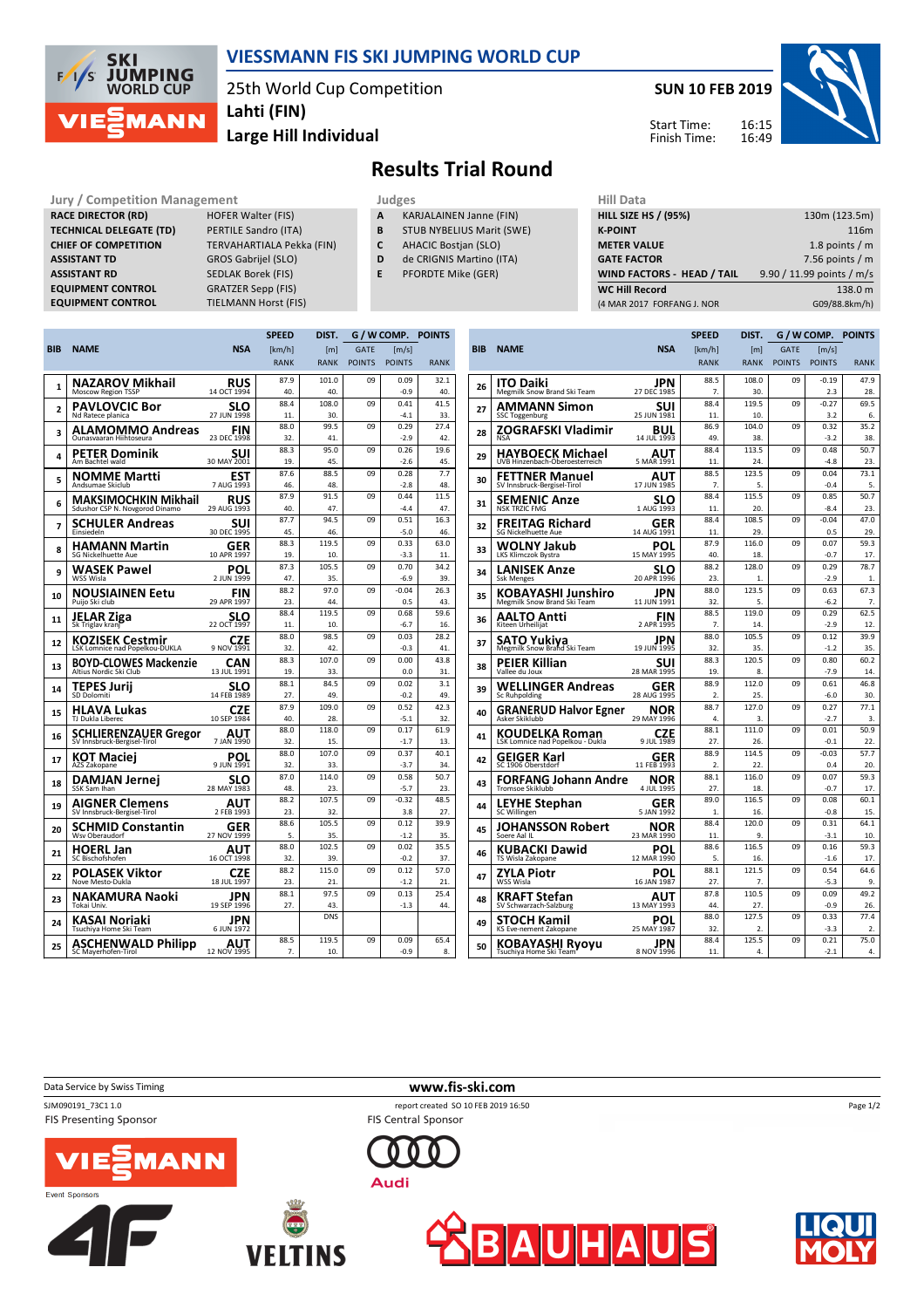

## **VIESSMANN FIS SKI JUMPING WORLD CUP**

25th World Cup Competition **Lahti (FIN)**

**Large Hill Individual**

**SUN 10 FEB 2019**

Start Time: Finish Time:



**Results Trial Round**

Jury / Competition Management<br> **RACE DIRECTOR (RD)** HOFER Walter (FIS) **A KARJALAINEN Janne (FIN)** HILL SIZE HILL SIZE **RACE DIRECTOR (RD) TECHNICAL DELEGATE (TD)** PERTILE Sandro (ITA) **CHIEF OF COMPETITION** TERVAHARTIALA Pekka (FIN) **ASSISTANT TD** GROS Gabrijel (SLO) **ASSISTANT RD** SEDLAK Borek (FIS)<br>**EQUIPMENT CONTROL** GRATZER Sepp (FIS) **EQUIPMENT CONTROL**<br>**EQUIPMENT CONTROL** 

**TIELMANN Horst (FIS)** 

- **A** KARJALAINEN Janne (FIN) **B** STUB NYBELIUS Marit (SWE)
- **C** AHACIC Bostjan (SLO)
- **D** de CRIGNIS Martino (ITA)
	-
- **E** PFORDTE Mike (GER)

| niil Data                   |                           |
|-----------------------------|---------------------------|
| <b>HILL SIZE HS / (95%)</b> | 130m (123.5m)             |
| <b>K-POINT</b>              | 116m                      |
| <b>METER VALUE</b>          | 1.8 points $/m$           |
| <b>GATE FACTOR</b>          | 7.56 points $/m$          |
| WIND FACTORS - HEAD / TAIL  | 9.90 / 11.99 points / m/s |
| <b>WC Hill Record</b>       | 138.0 m                   |
| (4 MAR 2017 FORFANG J. NOR  | G09/88.8km/h)             |
|                             |                           |

|                |                                                        |                           | <b>SPEED</b> | DIST.        | G / W COMP.   |                     | <b>POINTS</b> |  |
|----------------|--------------------------------------------------------|---------------------------|--------------|--------------|---------------|---------------------|---------------|--|
| BIB            | <b>NAME</b>                                            | <b>NSA</b>                | [km/h]       | [m]          | <b>GATE</b>   | $\lceil m/s \rceil$ |               |  |
|                |                                                        |                           | <b>RANK</b>  | <b>RANK</b>  | <b>POINTS</b> | <b>POINTS</b>       | <b>RANK</b>   |  |
|                | NAZAROV Mikhail                                        | RUS                       | 87.9         | 101.0        | 09            | 0.09                | 32.1          |  |
| 1              | Moscow Region TSSP                                     | 14 OCT 1994               | 40.          | 40.          |               | $-0.9$              | 40.           |  |
| $\overline{a}$ | PAVLOVCIC Bor                                          | SLO                       | 88.4         | 108.0        | 09            | 0.41                | 41.5          |  |
|                | Nd Ratece planica                                      | 27 JUN 1998               | 11           | 30           |               | $-4.1$              | 33.           |  |
| 3              | ALAMOMMO Andreas                                       | FIN                       | 88.0         | 99.5         | 09            | 0.29                | 27.4          |  |
|                | Ounasyaaran Hiihtoseura                                | 23 DEC 1998               | 32.          | 41           |               | $-2.9$              | 42.           |  |
| 4              | PETER Dominik                                          | SUI                       | 88.3         | 95.0         | 09            | 0.26                | 19.6          |  |
|                | Am Bachtel wald                                        | 30 MAY 2001               | 19.          | 45           |               | $-26$               | 45.           |  |
| 5              | NOMME Martti                                           | EST                       | 87.6         | 88.5         | 09            | 0.28                | 7.7           |  |
|                | Andsumae Skiclub                                       | 7 AUG 1993                | 46.          | 48           |               | $-28$               | 48.           |  |
| 6              | MAKSIMOCHKIN Mikhail                                   | <b>RUS</b>                | 87.9<br>40.  | 91.5<br>47   | 09            | 0.44<br>$-44$       | 11.5          |  |
|                | Sdushor CSP N. Novgorod Dinamo                         | 29 AUG 1993               | 87.7         | 94.5         |               | 0.51                | 47.           |  |
| 7              | SCHULER Andreas<br>Einsiedeln                          | SUI<br>30 DEC 1995        | 45.          | 46.          | 09            | $-5.0$              | 16.3<br>46.   |  |
|                |                                                        |                           | 88.3         | 119.5        | 09            | 0.33                | 63.0          |  |
| 8              | HAMANN Martin<br>SG Nickelhuette Aue                   | GER<br>10 APR 1997        | 19           | 10           |               | $-3.3$              | 11            |  |
|                |                                                        |                           | 87.3         | 105.5        | 09            | 0.70                | 34.2          |  |
| 9              | WASEK Pawel<br>WSS Wisla                               | POL<br>2 JUN 1999         | 47.          | 35.          |               | $-6.9$              | 39.           |  |
|                | NOUSIAINEN Eetu                                        | FIN                       | 88.2         | 97.0         | 09            | $-0.04$             | 26.3          |  |
| 10             | Puijo Ski club                                         | 29 APR 1997               | 23.          | ΔΔ           |               | 0.5                 | 43.           |  |
|                | JELAR Ziga                                             |                           | 88.4         | 119.5        | 09            | 0.68                | 59.6          |  |
| 11             | Sk Triglav kranj                                       | <b>SLO</b><br>22 OCT 1997 | 11.          | 10.          |               | $-6.7$              | 16.           |  |
|                | KOZISEK Cestmir                                        | CZE                       | 88.0         | 98.5         | 09            | 0.03                | 28.2          |  |
| 12             | LSK Lomnice nad Popelkou-DUKLA                         | 9 NOV 1991                | 32           | 42           |               | $-0.3$              | 41.           |  |
| 13             | <b>BOYD-CLOWES Mackenzie</b><br>Altius Nordic Ski Club | CAN                       | 88.3         | 107.0        | 09            | 0.00                | 43.8          |  |
|                |                                                        | 13 JUL 1991               | 19.          | 33.          |               | 0.0                 | 31.           |  |
| 14             | TEPES Jurii                                            | SLO                       | 88.1         | 84.5         | 09            | 0.02                | 3.1           |  |
|                | SD Dolomiti                                            | 14 FEB 1989               | 27.          | 49.          |               | $-0.2$              | 49.           |  |
| 15             | HLAVA Lukas                                            | CZE                       | 87.9         | 109.0        | 09            | 0.52                | 42.3          |  |
|                | TJ Dukla Liberec                                       | 10 SEP 1984               | 40.          | 28.          |               | $-5.1$              | 32.           |  |
| 16             | <b>SCHLIERENZAUER Gregor</b>                           | AUT                       | 88.0         | 118.0        | 09            | 0.17                | 61.9          |  |
|                | SV Innsbruck-Bergisel-Tirol                            | 7 JAN 1990                | 32.          | 15.          |               | $-1.7$              | 13.           |  |
| 17             | KOT Maciei                                             | POL                       | 88.0         | 107.0        | 09            | 0.37                | 40.1          |  |
|                | AZS Zakopane                                           | 9 JUN 1991                | 32.<br>87.0  | 33.<br>114.0 | 09            | $-3.7$<br>0.58      | 34.<br>50.7   |  |
| 18             | DAMJAN Jernej<br>SSK Sam Ihan                          | SLO<br>28 MAY 1983        | 48.          | 23.          |               | $-5.7$              | 23.           |  |
|                |                                                        |                           | 88.2         | 107.5        | 09            | $-0.32$             | 48.5          |  |
| 19             | <b>AIGNER Clemens</b><br>SV Innsbruck-Bergisel-Tirol   | AUT<br>2 FEB 1993         | 23.          | 32.          |               | 3.8                 | 27.           |  |
|                | SCHMID Constantin                                      | GER                       | 88.6         | 105.5        | 09            | 0.12                | 39.9          |  |
| 20             | Wsv Oberaudorf                                         | 27 NOV 1999               | 5.           | 35.          |               | $-1.2$              | 35.           |  |
|                | <b>HOERL Jan</b>                                       | AUT                       | 88.0         | 102.5        | 09            | 0.02                | 35.5          |  |
| 21             | SC Bischofshofen                                       | 16 OCT 1998               | 32.          | 39.          |               | $-0.2$              | 37.           |  |
| 22             | POLASEK Viktor                                         | <b>CZF</b>                | 88.2         | 115.0        | 09            | 0.12                | 57.0          |  |
|                | Nove Mesto-Dukla                                       | 18 JUL 1997               | 23.          | 21.          |               | $-1.2$              | 21.           |  |
| 23             | NAKAMURA Naoki                                         | JPN                       | 88.1         | 97.5         | nq            | 0.13                | 25.4          |  |
|                | Tokai Univ.                                            | 19 SEP 1996               | 27.          | 43.          |               | $-1.3$              | 44.           |  |
| 24             | KASAI Noriaki<br>Tsuchiya Home Ski Team                | JPN<br>6 JUN 1972         |              | <b>DNS</b>   |               |                     |               |  |
|                | <b>ASCHENWALD Philipp</b>                              | AUT                       | 88.5         | 119.5        | nq            | 0.09                | 65.4          |  |
| 25             | SC Mayerhofen-Tirol                                    | 12 NOV 1995               | 7.           | 10.          |               | $-0.9$              | 8.            |  |
|                |                                                        |                           |              |              |               |                     |               |  |

|            |                                                    |                    | <b>SPEED</b>   | DIST.        | G / W COMP.   |                     | <b>POINTS</b> |  |
|------------|----------------------------------------------------|--------------------|----------------|--------------|---------------|---------------------|---------------|--|
| <b>BIB</b> | <b>NAME</b>                                        | <b>NSA</b>         | [km/h]         | [ml]         | <b>GATE</b>   | $\lceil m/s \rceil$ |               |  |
|            |                                                    |                    | <b>RANK</b>    | <b>RANK</b>  | <b>POINTS</b> | <b>POINTS</b>       | <b>RANK</b>   |  |
| 26         | ITO Daiki                                          | JPN                | 88.5           | 108.0        | 09            | $-0.19$             | 47.9          |  |
|            | Megmilk Snow Brand Ski Team                        | 27 DEC 1985        | 7.             | 30.          |               | 2.3                 | 28.           |  |
| 27         | AMMANN Simon                                       | SUI                | 88.4           | 119.5        | 09            | $-0.27$             | 69.5          |  |
|            | <b>SSC Toggenburg</b>                              | 25 JUN 1981        | 11.            | 10.          |               | 3.2                 | 6.            |  |
| 28         | ZOGRAFSKI Vladimir<br><b>NSA</b>                   | BUL<br>14 JUL 1993 | 86.9<br>49.    | 104.0<br>38. | 09            | 0.32<br>$-3.2$      | 35.2<br>38.   |  |
| 29         | <b>HAYBOECK Michael</b>                            | AUT                | 88.4           | 113.5        | 09            | 0.48                | 50.7          |  |
|            | UVB Hinzenbach-Oberoesterreich                     | 5 MAR 1991         | 11.            | 24.          |               | $-4.8$              | 23.           |  |
| 30         | <b>FETTNER Manuel</b>                              | AUT                | 88.5           | 123.5        | 09            | 0.04                | 73.1          |  |
|            | SV Innsbruck-Bergisel-Tirol                        | 17 JUN 1985        | 7.             | 5.           |               | $-0.4$              | 5.            |  |
| 31         | SEMENIC Anze                                       | SLO                | 88.4           | 115.5        | 09            | 0.85                | 50.7          |  |
|            | <b>NSK TRZIC FMG</b>                               | 1 AUG 1993         | 11.            | 20.          |               | $-8.4$              | 23.           |  |
| 32         | FREITAG Richard                                    | GER<br>14 AUG 1991 | 88.4<br>11.    | 108.5<br>29. | 09            | $-0.04$<br>0.5      | 47.0<br>29.   |  |
|            | <b>SG Nickelhuette Aue</b>                         |                    | 87.9           | 116.0        | 09            | 0.07                | 59.3          |  |
| 33         | WOLNY Jakub<br>LKS Klimczok Bystra                 | POL<br>15 MAY 1995 | 40.            | 18.          |               | $-0.7$              | 17.           |  |
|            |                                                    |                    | 88.2           | 128.0        | 09            | 0.29                | 78.7          |  |
| 34         | <b>LANISEK Anze</b><br><b>Ssk Menges</b>           | SLO<br>20 APR 1996 | 23.            | 1.           |               | $-2.9$              | 1.            |  |
|            |                                                    | JPN                | 88.0           | 123.5        | 09            | 0.63                | 67.3          |  |
| 35         | KOBAYASHI Junshiro<br>Megmilk Snow Brand Ski Team  | 11 JUN 1991        | 32.            | 5.           |               | $-6.2$              | 7.            |  |
|            | AALTO Antti                                        | FIN                | 88.5           | 119.0        | 09            | 0.29                | 62.5          |  |
| 36         | Kiteen Urheilijat                                  | 2 APR 1995         | 7.             | 14.          |               | $-2.9$              | 12.           |  |
|            |                                                    | JPN                | 88.0           | 105.5        | 09            | 0.12                | 39.9          |  |
| 37         | <b>SATO Yukiya</b><br>Megmilk Snow Brand Ski Team  | 19 JUN 1995        | 32.            | 35.          |               | $-1.2$              | 35.           |  |
| 38         | PEIER Killian                                      | suı                | 88.3           | 120.5        | 09            | 0.80                | 60.2          |  |
|            | Vallee du Joux                                     | 28 MAR 1995        | 19.            | 8.           |               | $-7.9$              | 14.           |  |
| 39         | WELLINGER Andreas                                  | GER                | 88.9           | 112.0        | 09            | 0.61                | 46.8          |  |
|            | Sc Ruhpolding                                      | 28 AUG 1995        | 2.             | 25.          |               | $-6.0$              | 30.           |  |
| 40         | <b>GRANERUD Halvor Egner</b>                       | NOR                | 88.7           | 127.0        | 09            | 0.27                | 77.1          |  |
|            | Asker Skiklubb                                     | 29 MAY 1996        | 4.<br>88.1     | 3.<br>111.0  | 09            | $-2.7$<br>0.01      | 3.<br>50.9    |  |
| 41         | KOUDELKA Roman<br>LSK Lomnice nad Popelkou - Dukla | CZE<br>9 JUL 1989  | 27.            | 26.          |               | $-0.1$              | 22.           |  |
|            |                                                    |                    | 88.9           | 114.5        | 09            | $-0.03$             | 57.7          |  |
| 42         | GEIGER Karl<br>SC 1906 Oberstdorf                  | GER<br>11 FEB 1993 | $\overline{2}$ | 22.          |               | 0.4                 | 20.           |  |
|            | <b>FORFANG Johann Andre</b>                        | NOR                | 88.1           | 116.0        | 09            | 0.07                | 59.3          |  |
| 43         | Tromsoe Skiklubb                                   | 4 JUL 1995         | 27.            | 18.          |               | $-0.7$              | 17.           |  |
| 44         | <b>LEYHE Stephan</b>                               | GER                | 89.0           | 116.5        | 09            | 0.08                | 60.1          |  |
|            | SC Willingen                                       | 5 JAN 1992         | 1.             | 16.          |               | $-0.8$              | 15.           |  |
| 45         | JOHANSSON Robert                                   | NOR                | 88.4           | 120.0        | 09            | 0.31                | 64.1          |  |
|            | Soere Aal IL                                       | 23 MAR 1990        | 11.            | 9.           |               | $-3.1$              | 10.           |  |
| 46         | KUBACKI Dawid                                      | POL                | 88.6           | 116.5        | 09            | 0.16                | 59.3          |  |
|            | TS Wisla Zakopane                                  | 12 MAR 1990        | 5.             | 16.          |               | $-1.6$              | 17.           |  |
| 47         | ZYLA Piotr<br>WSS Wisla                            | POL<br>16 JAN 1987 | 88.1<br>27.    | 121.5<br>7.  | 09            | 0.54<br>$-5.3$      | 64.6<br>9.    |  |
| 48         | KRAFT Stefan                                       | AUT                | 87.8           | 110.5        | 09            | 0.09                | 49.2          |  |
|            | SV Schwarzach-Salzburg                             | 13 MAY 1993        | 44.            | 27.          |               | $-0.9$              | 26.           |  |
| 49         | STOCH Kamil                                        | POL                | 88.0           | 127.5        | 09            | 0.33                | 77.4          |  |
|            | KS Eve-nement Zakopane                             | 25 MAY 1987        | 32.            | 2.           |               | $-3.3$              | 2.            |  |
| 50         | <b>KOBAYASHI Ryoyu</b>                             | JPN                | 88.4           | 125.5        | 09            | 0.21                | 75.0          |  |
|            | Tsuchiya Home Ski Team                             | 8 NOV 1996         | 11.            | 4.           |               | $-2.1$              | 4.            |  |

Data Service by Swiss Timing **www.fis-ski.com** 

SJM090191\_73C1 1.0 report created SO 10 FEB 2019 16:50 FIS Presenting Sponsor





FIS Central Sponsor

**Audi** 





Page 1/2